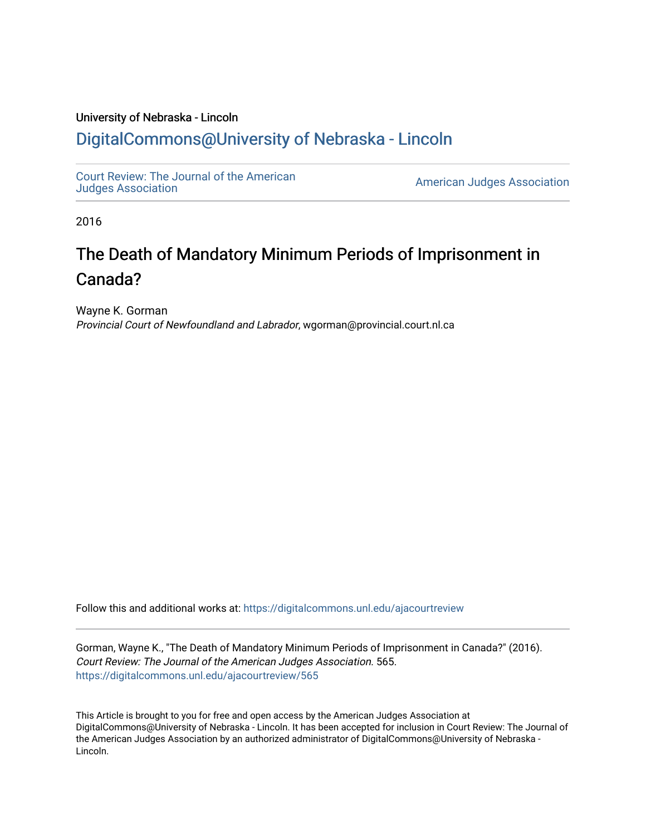### University of Nebraska - Lincoln [DigitalCommons@University of Nebraska - Lincoln](https://digitalcommons.unl.edu/)

[Court Review: The Journal of the American](https://digitalcommons.unl.edu/ajacourtreview)

[Judges Association](https://digitalcommons.unl.edu/ajacourtreview) [American Judges Association](https://digitalcommons.unl.edu/amjudgesassn) 

2016

## The Death of Mandatory Minimum Periods of Imprisonment in Canada?

Wayne K. Gorman Provincial Court of Newfoundland and Labrador, wgorman@provincial.court.nl.ca

Follow this and additional works at: [https://digitalcommons.unl.edu/ajacourtreview](https://digitalcommons.unl.edu/ajacourtreview?utm_source=digitalcommons.unl.edu%2Fajacourtreview%2F565&utm_medium=PDF&utm_campaign=PDFCoverPages) 

Gorman, Wayne K., "The Death of Mandatory Minimum Periods of Imprisonment in Canada?" (2016). Court Review: The Journal of the American Judges Association. 565. [https://digitalcommons.unl.edu/ajacourtreview/565](https://digitalcommons.unl.edu/ajacourtreview/565?utm_source=digitalcommons.unl.edu%2Fajacourtreview%2F565&utm_medium=PDF&utm_campaign=PDFCoverPages) 

This Article is brought to you for free and open access by the American Judges Association at DigitalCommons@University of Nebraska - Lincoln. It has been accepted for inclusion in Court Review: The Journal of the American Judges Association by an authorized administrator of DigitalCommons@University of Nebraska -Lincoln.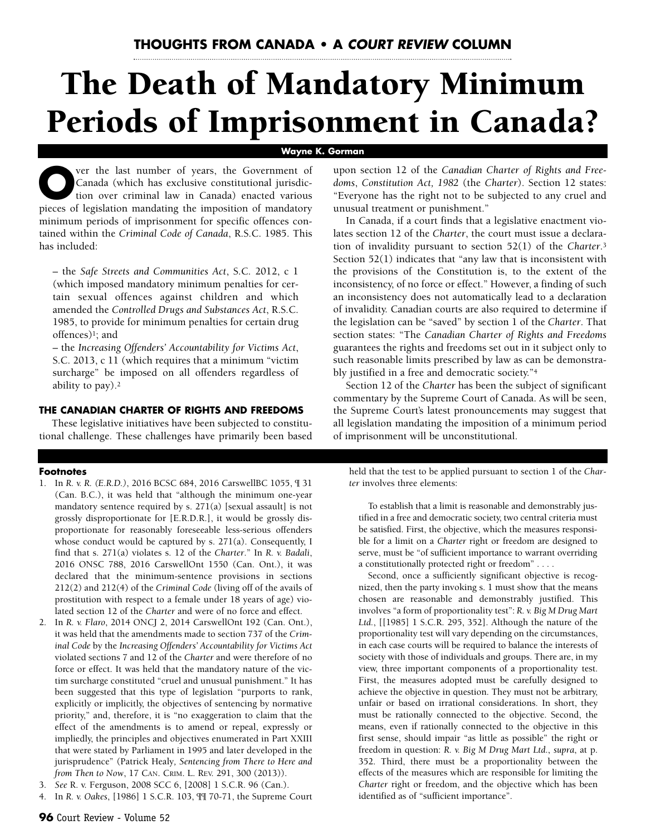# **The Death of Mandatory Minimum Periods of Imprisonment in Canada?**

#### **Wayne K. Gorman**

**O**ver the last number of years, the Government of Canada (which has exclusive constitutional jurisdiction over criminal law in Canada) enacted various Canada (which has exclusive constitutional jurisdicpieces of legislation mandating the imposition of mandatory minimum periods of imprisonment for specific offences contained within the *Criminal Code of Canada*, R.S.C. 1985. This has included:

– the *Safe Streets and Communities Act*, S.C. 2012, c 1 (which imposed mandatory minimum penalties for certain sexual offences against children and which amended the *Controlled Drugs and Substances Act*, R.S.C. 1985, to provide for minimum penalties for certain drug offences)1; and

– the *Increasing Offenders' Accountability for Victims Act*, S.C. 2013, c 11 (which requires that a minimum "victim surcharge" be imposed on all offenders regardless of ability to pay).2

#### **THE CANADIAN CHARTER OF RIGHTS AND FREEDOMS**

These legislative initiatives have been subjected to constitutional challenge. These challenges have primarily been based

#### **Footnotes**

- 1. In *R. v. R. (E.R.D.)*, 2016 BCSC 684, 2016 CarswellBC 1055, ¶ 31 (Can. B.C.), it was held that "although the minimum one-year mandatory sentence required by s. 271(a) [sexual assault] is not grossly disproportionate for [E.R.D.R.], it would be grossly disproportionate for reasonably foreseeable less-serious offenders whose conduct would be captured by s. 271(a). Consequently, I find that s. 271(a) violates s. 12 of the *Charter*." In *R. v. Badali*, 2016 ONSC 788, 2016 CarswellOnt 1550 (Can. Ont.), it was declared that the minimum-sentence provisions in sections 212(2) and 212(4) of the *Criminal Code* (living off of the avails of prostitution with respect to a female under 18 years of age) violated section 12 of the *Charter* and were of no force and effect.
- 2. In *R. v. Flaro*, 2014 ONCJ 2, 2014 CarswellOnt 192 (Can. Ont.), it was held that the amendments made to section 737 of the *Criminal Code* by the *Increasing Offenders' Accountability for Victims Act* violated sections 7 and 12 of the *Charter* and were therefore of no force or effect. It was held that the mandatory nature of the victim surcharge constituted "cruel and unusual punishment." It has been suggested that this type of legislation "purports to rank, explicitly or implicitly, the objectives of sentencing by normative priority," and, therefore, it is "no exaggeration to claim that the effect of the amendments is to amend or repeal, expressly or impliedly, the principles and objectives enumerated in Part XXIII that were stated by Parliament in 1995 and later developed in the jurisprudence" (Patrick Healy*, Sentencing from There to Here and from Then to Now*, 17 CAN. CRIM. L. REV. 291, 300 (2013)).
- 3. *See* R. v. Ferguson, 2008 SCC 6, [2008] 1 S.C.R. 96 (Can.).
- 4. In *R. v. Oakes*, [1986] 1 S.C.R. 103, ¶¶ 70-71, the Supreme Court

upon section 12 of the *Canadian Charter of Rights and Freedoms*, *Constitution Act, 1982* (the *Charter*). Section 12 states: "Everyone has the right not to be subjected to any cruel and unusual treatment or punishment."

In Canada, if a court finds that a legislative enactment violates section 12 of the *Charter*, the court must issue a declaration of invalidity pursuant to section 52(1) of the *Charter*.3 Section 52(1) indicates that "any law that is inconsistent with the provisions of the Constitution is, to the extent of the inconsistency, of no force or effect." However, a finding of such an inconsistency does not automatically lead to a declaration of invalidity. Canadian courts are also required to determine if the legislation can be "saved" by section 1 of the *Charter*. That section states: "The *Canadian Charter of Rights and Freedoms* guarantees the rights and freedoms set out in it subject only to such reasonable limits prescribed by law as can be demonstrably justified in a free and democratic society."4

Section 12 of the *Charter* has been the subject of significant commentary by the Supreme Court of Canada. As will be seen, the Supreme Court's latest pronouncements may suggest that all legislation mandating the imposition of a minimum period of imprisonment will be unconstitutional.

held that the test to be applied pursuant to section 1 of the *Charter* involves three elements:

To establish that a limit is reasonable and demonstrably justified in a free and democratic society, two central criteria must be satisfied. First, the objective, which the measures responsible for a limit on a *Charter* right or freedom are designed to serve, must be "of sufficient importance to warrant overriding a constitutionally protected right or freedom" . . . .

Second, once a sufficiently significant objective is recognized, then the party invoking s. 1 must show that the means chosen are reasonable and demonstrably justified. This involves "a form of proportionality test": *R. v. Big M Drug Mart Ltd.*, [[1985] 1 S.C.R. 295, 352]. Although the nature of the proportionality test will vary depending on the circumstances, in each case courts will be required to balance the interests of society with those of individuals and groups. There are, in my view, three important components of a proportionality test. First, the measures adopted must be carefully designed to achieve the objective in question. They must not be arbitrary, unfair or based on irrational considerations. In short, they must be rationally connected to the objective. Second, the means, even if rationally connected to the objective in this first sense, should impair "as little as possible" the right or freedom in question: *R. v. Big M Drug Mart Ltd*., *supra*, at p. 352. Third, there must be a proportionality between the effects of the measures which are responsible for limiting the *Charter* right or freedom, and the objective which has been identified as of "sufficient importance".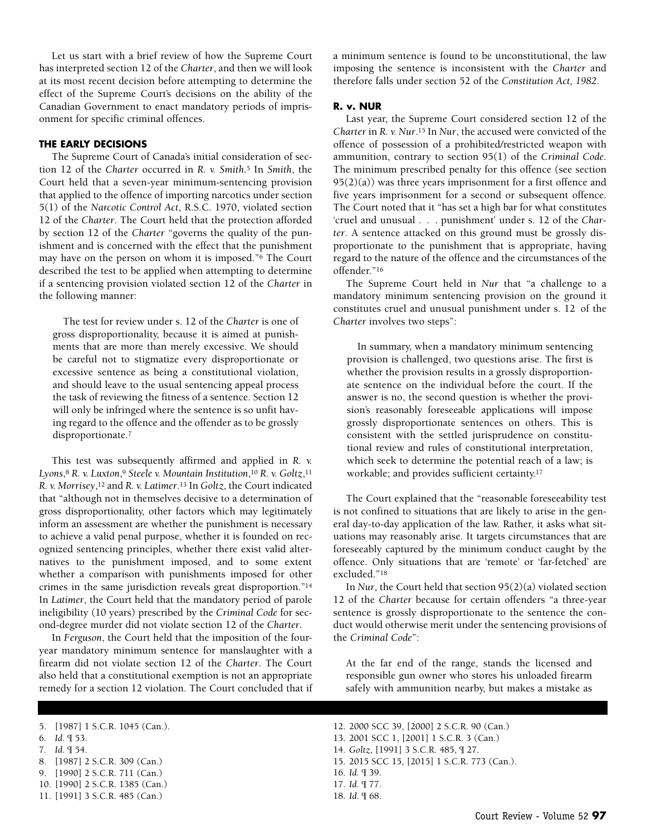Let us start with a brief review of how the Supreme Court has interpreted section 12 of the *Charter*, and then we will look at its most recent decision before attempting to determine the effect of the Supreme Court's decisions on the ability of the Canadian Government to enact mandatory periods of imprisonment for specific criminal offences.

#### **THE EARLY DECISIONS**

The Supreme Court of Canada's initial consideration of section 12 of the *Charter* occurred in *R. v. Smith*.<sup>5</sup> In *Smith*, the Court held that a seven-year minimum-sentencing provision that applied to the offence of importing narcotics under section 5(1) of the *Narcotic Control Act*, R.S.C. 1970, violated section 12 of the *Charter*. The Court held that the protection afforded by section 12 of the *Charter* "governs the quality of the punishment and is concerned with the effect that the punishment may have on the person on whom it is imposed."6 The Court described the test to be applied when attempting to determine if a sentencing provision violated section 12 of the *Charter* in the following manner:

The test for review under s. 12 of the *Charter* is one of gross disproportionality, because it is aimed at punishments that are more than merely excessive. We should be careful not to stigmatize every disproportionate or excessive sentence as being a constitutional violation, and should leave to the usual sentencing appeal process the task of reviewing the fitness of a sentence. Section 12 will only be infringed where the sentence is so unfit having regard to the offence and the offender as to be grossly disproportionate.7

This test was subsequently affirmed and applied in *R. v. Lyons*,8 *R. v. Luxton*,9 *Steele v. Mountain Institution*,10 *R. v. Goltz*,11 *R. v. Morrisey*,12 and *R. v. Latimer*.13 In *Goltz*, the Court indicated that "although not in themselves decisive to a determination of gross disproportionality, other factors which may legitimately inform an assessment are whether the punishment is necessary to achieve a valid penal purpose, whether it is founded on recognized sentencing principles, whether there exist valid alternatives to the punishment imposed, and to some extent whether a comparison with punishments imposed for other crimes in the same jurisdiction reveals great disproportion."14 In *Latimer*, the Court held that the mandatory period of parole ineligibility (10 years) prescribed by the *Criminal Code* for second-degree murder did not violate section 12 of the *Charter*.

In *Ferguson*, the Court held that the imposition of the fouryear mandatory minimum sentence for manslaughter with a firearm did not violate section 12 of the *Charter*. The Court also held that a constitutional exemption is not an appropriate remedy for a section 12 violation. The Court concluded that if a minimum sentence is found to be unconstitutional, the law imposing the sentence is inconsistent with the *Charter* and therefore falls under section 52 of the *Constitution Act, 1982*.

#### **R. v. NUR**

Last year, the Supreme Court considered section 12 of the *Charter* in *R. v. Nur*.15 In *Nur*, the accused were convicted of the offence of possession of a prohibited/restricted weapon with ammunition, contrary to section 95(1) of the *Criminal Code*. The minimum prescribed penalty for this offence (see section  $95(2)(a)$ ) was three years imprisonment for a first offence and five years imprisonment for a second or subsequent offence. The Court noted that it "has set a high bar for what constitutes 'cruel and unusual . . . punishment' under s. 12 of the *Charter*. A sentence attacked on this ground must be grossly disproportionate to the punishment that is appropriate, having regard to the nature of the offence and the circumstances of the offender."16

The Supreme Court held in *Nur* that "a challenge to a mandatory minimum sentencing provision on the ground it constitutes cruel and unusual punishment under s. 12 of the *Charter* involves two steps":

In summary, when a mandatory minimum sentencing provision is challenged, two questions arise. The first is whether the provision results in a grossly disproportionate sentence on the individual before the court. If the answer is no, the second question is whether the provision's reasonably foreseeable applications will impose grossly disproportionate sentences on others. This is consistent with the settled jurisprudence on constitutional review and rules of constitutional interpretation, which seek to determine the potential reach of a law; is workable; and provides sufficient certainty.17

The Court explained that the "reasonable foreseeability test is not confined to situations that are likely to arise in the general day-to-day application of the law. Rather, it asks what situations may reasonably arise. It targets circumstances that are foreseeably captured by the minimum conduct caught by the offence. Only situations that are 'remote' or 'far-fetched' are excluded."18

In *Nur*, the Court held that section 95(2)(a) violated section 12 of the *Charter* because for certain offenders "a three-year sentence is grossly disproportionate to the sentence the conduct would otherwise merit under the sentencing provisions of the *Criminal Code*":

At the far end of the range, stands the licensed and responsible gun owner who stores his unloaded firearm safely with ammunition nearby, but makes a mistake as

- 6. *Id*. ¶ 53.
- 7. *Id*. ¶ 54.
- 8. [1987] 2 S.C.R. 309 (Can.)
- 9. [1990] 2 S.C.R. 711 (Can.)
- 10. [1990] 2 S.C.R. 1385 (Can.)
- 11. [1991] 3 S.C.R. 485 (Can.)
- 12. 2000 SCC 39, [2000] 2 S.C.R. 90 (Can.)
- 13. 2001 SCC 1, [2001] 1 S.C.R. 3 (Can.)
- 14. *Goltz*, [1991] 3 S.C.R. 485, ¶ 27.
- 15. 2015 SCC 15, [2015] 1 S.C.R. 773 (Can.).

- 17. *Id.* ¶ 77.
- 18. *Id*. ¶ 68.

<sup>5. [1987] 1</sup> S.C.R. 1045 (Can.).

<sup>16.</sup> *Id.* ¶ 39.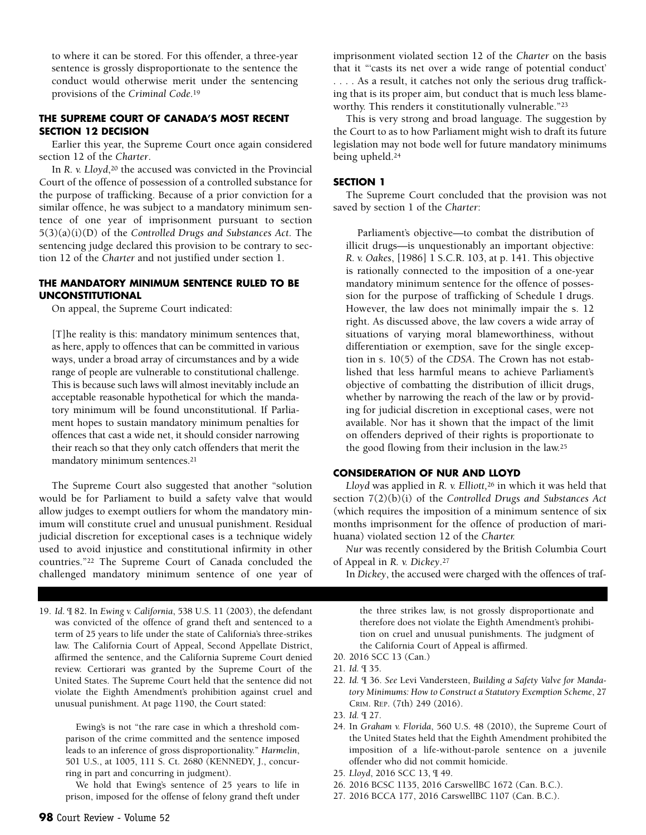to where it can be stored. For this offender, a three-year sentence is grossly disproportionate to the sentence the conduct would otherwise merit under the sentencing provisions of the *Criminal Code*.19

#### **THE SUPREME COURT OF CANADA'S MOST RECENT SECTION 12 DECISION**

Earlier this year, the Supreme Court once again considered section 12 of the *Charter*.

In *R. v. Lloyd*,<sup>20</sup> the accused was convicted in the Provincial Court of the offence of possession of a controlled substance for the purpose of trafficking. Because of a prior conviction for a similar offence, he was subject to a mandatory minimum sentence of one year of imprisonment pursuant to section 5(3)(a)(i)(D) of the *Controlled Drugs and Substances Act*. The sentencing judge declared this provision to be contrary to section 12 of the *Charter* and not justified under section 1.

#### **THE MANDATORY MINIMUM SENTENCE RULED TO BE UNCONSTITUTIONAL**

On appeal, the Supreme Court indicated:

[T]he reality is this: mandatory minimum sentences that, as here, apply to offences that can be committed in various ways, under a broad array of circumstances and by a wide range of people are vulnerable to constitutional challenge. This is because such laws will almost inevitably include an acceptable reasonable hypothetical for which the mandatory minimum will be found unconstitutional. If Parliament hopes to sustain mandatory minimum penalties for offences that cast a wide net, it should consider narrowing their reach so that they only catch offenders that merit the mandatory minimum sentences.21

The Supreme Court also suggested that another "solution would be for Parliament to build a safety valve that would allow judges to exempt outliers for whom the mandatory minimum will constitute cruel and unusual punishment. Residual judicial discretion for exceptional cases is a technique widely used to avoid injustice and constitutional infirmity in other countries."22 The Supreme Court of Canada concluded the challenged mandatory minimum sentence of one year of

19. *Id*. ¶ 82. In *Ewing v. California*, 538 U.S. 11 (2003), the defendant was convicted of the offence of grand theft and sentenced to a term of 25 years to life under the state of California's three-strikes law. The California Court of Appeal, Second Appellate District, affirmed the sentence, and the California Supreme Court denied review. Certiorari was granted by the Supreme Court of the United States. The Supreme Court held that the sentence did not violate the Eighth Amendment's prohibition against cruel and unusual punishment. At page 1190, the Court stated:

Ewing's is not "the rare case in which a threshold comparison of the crime committed and the sentence imposed leads to an inference of gross disproportionality." *Harmelin*, 501 U.S., at 1005, 111 S. Ct. 2680 (KENNEDY, J., concurring in part and concurring in judgment).

We hold that Ewing's sentence of 25 years to life in prison, imposed for the offense of felony grand theft under imprisonment violated section 12 of the *Charter* on the basis that it "'casts its net over a wide range of potential conduct' . . . . As a result, it catches not only the serious drug trafficking that is its proper aim, but conduct that is much less blameworthy. This renders it constitutionally vulnerable."23

This is very strong and broad language. The suggestion by the Court to as to how Parliament might wish to draft its future legislation may not bode well for future mandatory minimums being upheld.24

#### **SECTION 1**

The Supreme Court concluded that the provision was not saved by section 1 of the *Charter*:

Parliament's objective—to combat the distribution of illicit drugs—is unquestionably an important objective: *R. v. Oakes*, [1986] 1 S.C.R. 103, at p. 141. This objective is rationally connected to the imposition of a one-year mandatory minimum sentence for the offence of possession for the purpose of trafficking of Schedule I drugs. However, the law does not minimally impair the s. 12 right. As discussed above, the law covers a wide array of situations of varying moral blameworthiness, without differentiation or exemption, save for the single exception in s. 10(5) of the *CDSA*. The Crown has not established that less harmful means to achieve Parliament's objective of combatting the distribution of illicit drugs, whether by narrowing the reach of the law or by providing for judicial discretion in exceptional cases, were not available. Nor has it shown that the impact of the limit on offenders deprived of their rights is proportionate to the good flowing from their inclusion in the law.25

#### **CONSIDERATION OF NUR AND LLOYD**

*Lloyd* was applied in *R. v. Elliott,*<sup>26</sup> in which it was held that section 7(2)(b)(i) of the *Controlled Drugs and Substances Act* (which requires the imposition of a minimum sentence of six months imprisonment for the offence of production of marihuana) violated section 12 of the *Charter.*

*Nur* was recently considered by the British Columbia Court of Appeal in *R. v. Dickey*.27

In *Dickey*, the accused were charged with the offences of traf-

the three strikes law, is not grossly disproportionate and therefore does not violate the Eighth Amendment's prohibition on cruel and unusual punishments. The judgment of the California Court of Appeal is affirmed.

20. 2016 SCC 13 (Can.)

- 22. *Id.* ¶ 36. *See* Levi Vandersteen, *Building a Safety Valve for Mandatory Minimums: How to Construct a Statutory Exemption Scheme*, 27 CRIM. REP. (7th) 249 (2016).
- 23. *Id.* ¶ 27.
- 24. In *Graham v. Florida*, 560 U.S. 48 (2010), the Supreme Court of the United States held that the Eighth Amendment prohibited the imposition of a life-without-parole sentence on a juvenile offender who did not commit homicide.
- 25. *Lloyd*, 2016 SCC 13, ¶ 49.
- 26. 2016 BCSC 1135, 2016 CarswellBC 1672 (Can. B.C.).
- 27. 2016 BCCA 177, 2016 CarswellBC 1107 (Can. B.C.).

<sup>21.</sup> *Id.* ¶ 35.